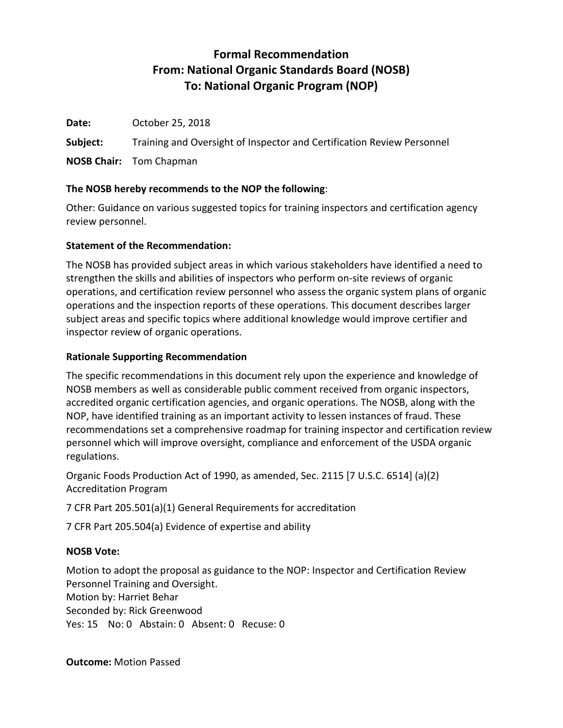# **Formal Recommendation From: National Organic Standards Board (NOSB) To: National Organic Program (NOP)**

**Date:** October 25, 2018 **Subject:** Training and Oversight of Inspector and Certification Review Personnel **NOSB Chair:** Tom Chapman

# **The NOSB hereby recommends to the NOP the following**:

Other: Guidance on various suggested topics for training inspectors and certification agency review personnel.

# **Statement of the Recommendation:**

The NOSB has provided subject areas in which various stakeholders have identified a need to strengthen the skills and abilities of inspectors who perform on-site reviews of organic operations, and certification review personnel who assess the organic system plans of organic operations and the inspection reports of these operations. This document describes larger subject areas and specific topics where additional knowledge would improve certifier and inspector review of organic operations.

# **Rationale Supporting Recommendation**

The specific recommendations in this document rely upon the experience and knowledge of NOSB members as well as considerable public comment received from organic inspectors, accredited organic certification agencies, and organic operations. The NOSB, along with the NOP, have identified training as an important activity to lessen instances of fraud. These recommendations set a comprehensive roadmap for training inspector and certification review personnel which will improve oversight, compliance and enforcement of the USDA organic regulations.

Organic Foods Production Act of 1990, as amended, Sec. 2115 [7 U.S.C. 6514] (a)(2) Accreditation Program

7 CFR Part 205.501(a)(1) General Requirements for accreditation

7 CFR Part 205.504(a) Evidence of expertise and ability

# **NOSB Vote:**

Motion to adopt the proposal as guidance to the NOP: Inspector and Certification Review Personnel Training and Oversight. Motion by: Harriet Behar Seconded by: Rick Greenwood Yes: 15 No: 0 Abstain: 0 Absent: 0 Recuse: 0

**Outcome:** Motion Passed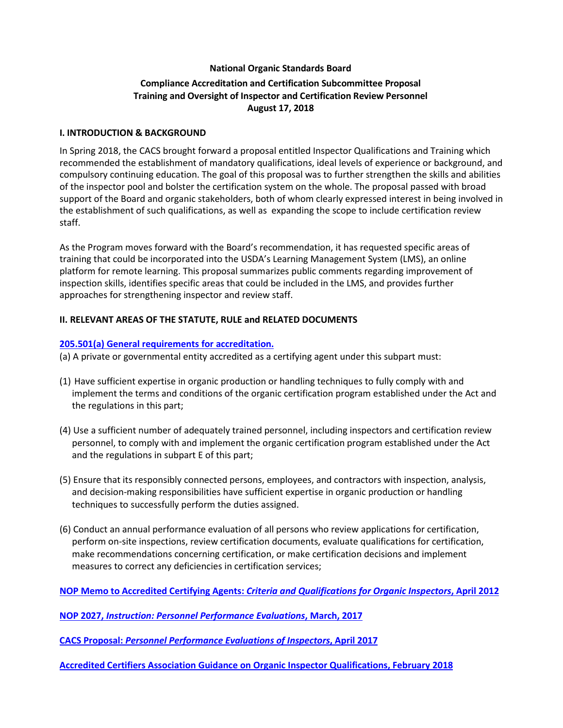# **National Organic Standards Board Compliance Accreditation and Certification Subcommittee Proposal Training and Oversight of Inspector and Certification Review Personnel August 17, 2018**

## **I. INTRODUCTION & BACKGROUND**

In Spring 2018, the CACS brought forward a proposal entitled Inspector Qualifications and Training which recommended the establishment of mandatory qualifications, ideal levels of experience or background, and compulsory continuing education. The goal of this proposal was to further strengthen the skills and abilities of the inspector pool and bolster the certification system on the whole. The proposal passed with broad support of the Board and organic stakeholders, both of whom clearly expressed interest in being involved in the establishment of such qualifications, as well as expanding the scope to include certification review staff.

As the Program moves forward with the Board's recommendation, it has requested specific areas of training that could be incorporated into the USDA's Learning Management System (LMS), an online platform for remote learning. This proposal summarizes public comments regarding improvement of inspection skills, identifies specific areas that could be included in the LMS, and provides further approaches for strengthening inspector and review staff.

## **II. RELEVANT AREAS OF THE STATUTE, RULE and RELATED DOCUMENTS**

## **[205.501\(a\) General requirements for accreditation.](https://www.ecfr.gov/cgi-bin/text-idx?SID=6c5f4629aa2f1108f91c76da2979b470&mc=true&node=pt7.3.205&rgn=div5#se7.3.205_1501)**

(a) A private or governmental entity accredited as a certifying agent under this subpart must:

- (1) Have sufficient expertise in organic production or handling techniques to fully comply with and implement the terms and conditions of the organic certification program established under the Act and the regulations in this part;
- (4) Use a sufficient number of adequately trained personnel, including inspectors and certification review personnel, to comply with and implement the organic certification program established under the Act and the regulations in subpart E of this part;
- (5) Ensure that its responsibly connected persons, employees, and contractors with inspection, analysis, and decision-making responsibilities have sufficient expertise in organic production or handling techniques to successfully perform the duties assigned.
- (6) Conduct an annual performance evaluation of all persons who review applications for certification, perform on-site inspections, review certification documents, evaluate qualifications for certification, make recommendations concerning certification, or make certification decisions and implement measures to correct any deficiencies in certification services;

**NOP Memo to Accredited Certifying Agents:** *[Criteria and Qualifications for Organic Inspectors](https://www.ams.usda.gov/sites/default/files/media/NOP-Notice-OrganicInspectorCriteria.pdf)***, April 2012**

**NOP 2027,** *[Instruction: Personnel Performance Evaluations](https://www.ams.usda.gov/sites/default/files/media/2027.pdf)***, March, 2017**

**CACS Proposal:** *[Personnel Performance Evaluations of Inspectors](https://www.ams.usda.gov/sites/default/files/media/CACSInspectorsProposal.pdf)***, April 2017**

**[Accredited Certifiers Association Guidance on Organic Inspector Qualifications, February 2018](https://www.accreditedcertifiers.org/wp-content/uploads/2018/02/ACA-Guidance-on-Inspector-Qualifications-with-IOIA-Evaluation-Checklist.pdf)**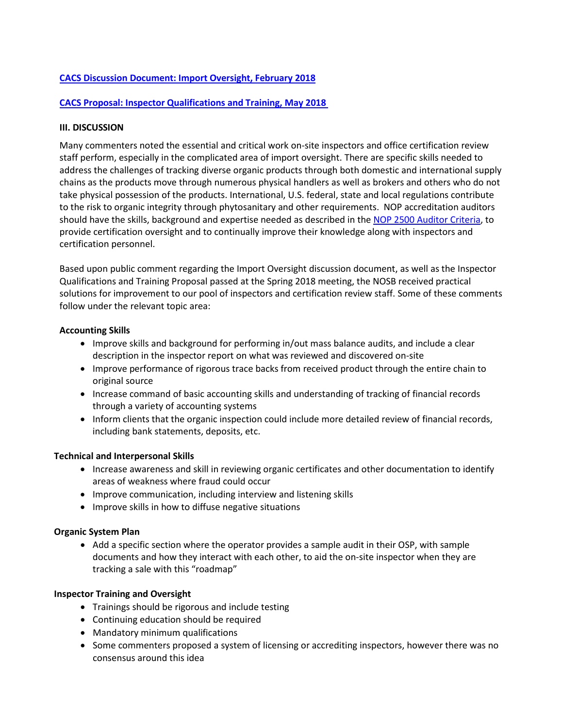## **[CACS Discussion Document: Import Oversight, February 2018](https://www.ams.usda.gov/sites/default/files/media/CACSImportOversightDDApril2018.PDF)**

## **[CACS Proposal: Inspector Qualifications and Training, May 2018](https://www.ams.usda.gov/sites/default/files/media/CACSInspectorQualificationsRec.pdf)**

#### **III. DISCUSSION**

Many commenters noted the essential and critical work on-site inspectors and office certification review staff perform, especially in the complicated area of import oversight. There are specific skills needed to address the challenges of tracking diverse organic products through both domestic and international supply chains as the products move through numerous physical handlers as well as brokers and others who do not take physical possession of the products. International, U.S. federal, state and local regulations contribute to the risk to organic integrity through phytosanitary and other requirements. NOP accreditation auditors should have the skills, background and expertise needed as described in the [NOP 2500 Auditor Criteria,](https://www.ams.usda.gov/sites/default/files/media/2500.pdf) to provide certification oversight and to continually improve their knowledge along with inspectors and certification personnel.

Based upon public comment regarding the Import Oversight discussion document, as well as the Inspector Qualifications and Training Proposal passed at the Spring 2018 meeting, the NOSB received practical solutions for improvement to our pool of inspectors and certification review staff. Some of these comments follow under the relevant topic area:

## **Accounting Skills**

- Improve skills and background for performing in/out mass balance audits, and include a clear description in the inspector report on what was reviewed and discovered on-site
- Improve performance of rigorous trace backs from received product through the entire chain to original source
- Increase command of basic accounting skills and understanding of tracking of financial records through a variety of accounting systems
- Inform clients that the organic inspection could include more detailed review of financial records, including bank statements, deposits, etc.

## **Technical and Interpersonal Skills**

- Increase awareness and skill in reviewing organic certificates and other documentation to identify areas of weakness where fraud could occur
- Improve communication, including interview and listening skills
- Improve skills in how to diffuse negative situations

## **Organic System Plan**

• Add a specific section where the operator provides a sample audit in their OSP, with sample documents and how they interact with each other, to aid the on-site inspector when they are tracking a sale with this "roadmap"

## **Inspector Training and Oversight**

- Trainings should be rigorous and include testing
- Continuing education should be required
- Mandatory minimum qualifications
- Some commenters proposed a system of licensing or accrediting inspectors, however there was no consensus around this idea